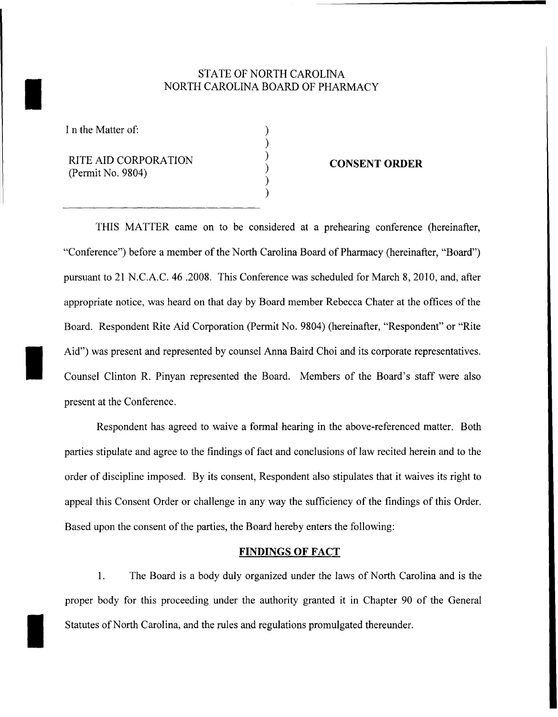# STATE OF NORTH CAROLINA NORTH CAROLINA BOARD OF PHARMACY

) ) ) ) ) )

I n the Matter of:

I

I

I

RITE AID CORPORATION (Permit No. 9804)

### **CONSENT ORDER**

THIS MATTER came on to be considered at a prehearing conference (hereinafter, "Conference") before a member of the North Carolina Board of Pharmacy (hereinafter, "Board") pursuant to 21 N.C.A.C. 46 .2008. This Conference was scheduled for March 8, 2010, and, after appropriate notice, was heard on that day by Board member Rebecca Chater at the offices of the Board. Respondent Rite Aid Corporation (Permit No. 9804) (hereinafter, "Respondent" or "Rite Aid") was present and represented by counsel Anna Baird Choi and its corporate representatives. Counsel Clinton R. Pinyan represented the Board. Members of the Board's staff were also present at the Conference.

Respondent has agreed to waive a formal hearing in the above-referenced matter. Both parties stipulate and agree to the findings of fact and conclusions of law recited herein and to the order of discipline imposed. By its consent, Respondent also stipulates that it waives its right to appeal this Consent Order or challenge in any way the sufficiency of the findings of this Order. Based upon the consent of the parties, the Board hereby enters the following:

## **FINDINGS OF FACT**

1. The Board is a body duly organized under the laws of North Carolina and is the proper body for this proceeding under the authority granted it in Chapter 90 of the General Statutes of North Carolina, and the rules and regulations promulgated thereunder.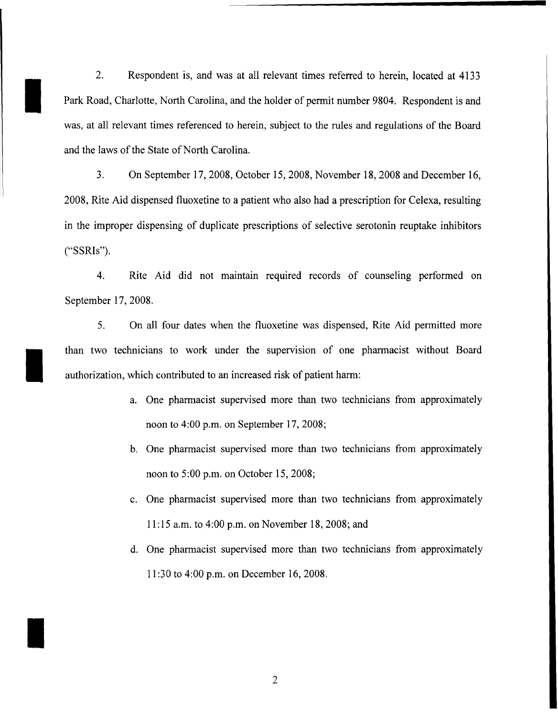2. Respondent is, and was at all relevant times referred to herein, located at 4133 Park Road, Charlotte, North Carolina, and the holder of permit number 9804. Respondent is and was, at all relevant times referenced to herein, subject to the rules and regulations of the Board and the laws of the State of North Carolina.

I

I

I

3. On September 17, 2008, October 15, 2008, November 18, 2008 and December 16, 2008, Rite Aid dispensed fluoxetine to a patient who also had a prescription for Celexa, resulting in the improper dispensing of duplicate prescriptions of selective serotonin reuptake inhibitors ("SSRIs").

4. Rite Aid did not maintain required records of counseling performed on September 17,2008.

5. On all four dates when the fluoxetine was dispensed, Rite Aid permitted more than two technicians to work under the supervision of one pharmacist without Board authorization, which contributed to an increased risk of patient harm:

- a. One pharmacist supervised more than two technicians from approximately noon to 4:00 p.m. on September 17,2008;
- b. One pharmacist supervised more than two technicians from approximately noon to 5:00 p.m. on October 15,2008;
- c. One pharmacist supervised more than two technicians from approximately 11 :15 a.m. to 4:00 p.m. on November 18,2008; and
- d. One pharmacist supervised more than two technicians from approximately 11 :30 to 4:00 p.m. on December 16, 2008.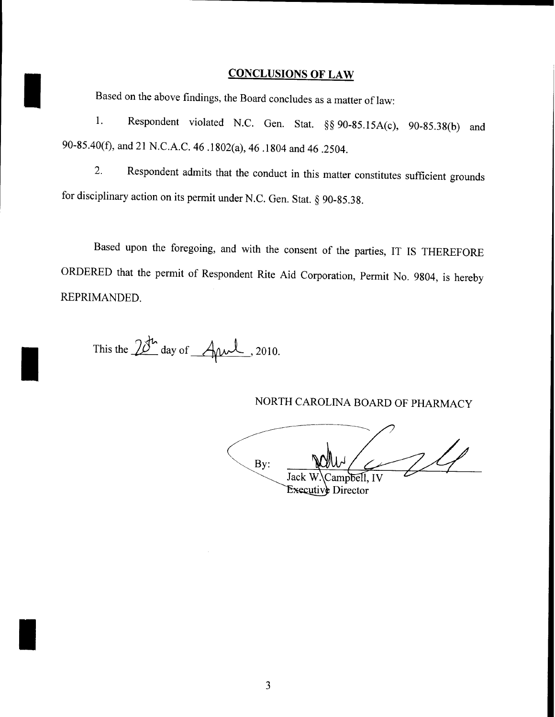# **CONCLUSIONS OF LAW**

Based on the above findings, the Board concludes as a matter of law:

1. Respondent violated N.C. Gen. Stat. §§ 90-85.15A(c), 90-85.38(b) and 90-85.40(f), and 21 N.C.A.C. 46 .1802(a), 46 .1804 and 46 .2504.

2. Respondent admits that the conduct in this matter constitutes sufficient grounds for disciplinary action on its permit under N.C. Gen. Stat. § 90-85.38.

Based upon the foregoing, and with the consent of the parties, IT IS THEREFORE ORDERED that the permit of Respondent Rite Aid Corporation, Permit No. 9804, is hereby REPRIMANDED.

This the  $28^{\text{th}}$  day of  $\text{Aut}$ , 2010.

I

I

I

NORTH CAROLINA BOARD OF PHARMACY

By: Jack W 'ampbell, IV Executive Director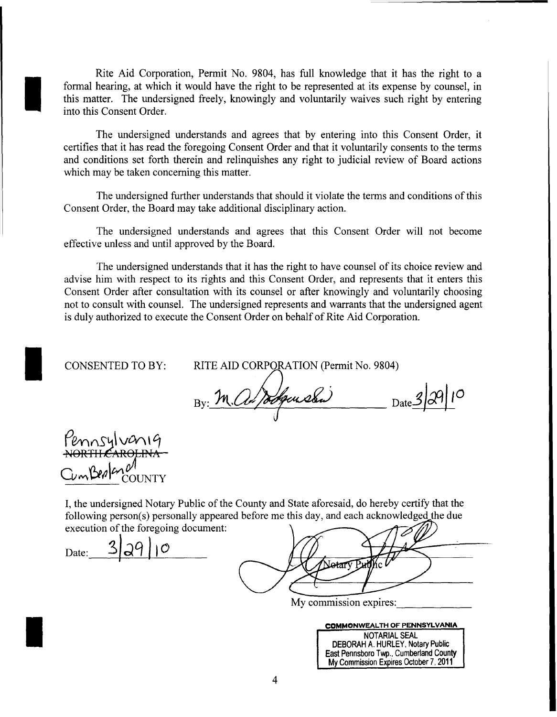Rite Aid Corporation, Permit No. 9804, has full knowledge that it has the right to a formal hearing, at which it would have the right to be represented at its expense by counsel, in this matter. The undersigned freely, knowingly and voluntarily waives such right by entering into this Consent Order.

The undersigned understands and agrees that by entering into this Consent Order, it certifies that it has read the foregoing Consent Order and that it voluntarily consents to the terms and conditions set forth therein and relinquishes any right to judicial review of Board actions which may be taken concerning this matter.

The undersigned further understands that should it violate the terms and conditions ofthis Consent Order, the Board may take additional disciplinary action.

The undersigned understands and agrees that this Consent Order will not become effective unless and until approved by the Board.

The undersigned understands that it has the right to have counsel of its choice review and advise him with respect to its rights and this Consent Order, and represents that it enters this Consent Order after consultation with its counsel or after knowingly and voluntarily choosing not to consult with counsel. The undersigned represents and warrants that the undersigned agent is duly authorized to execute the Consent Order on behalf of Rite Aid Corporation.

CONSENTED TO BY:

I

I

RITE AID CORPORATION (Permit No. 9804)

By: M. al Jodgewsba)  $\frac{3}{2}$  Date  $\frac{3}{2}$ 

COUNTY

I, the undersigned Notary Public of the County and State aforesaid, do hereby certify that the following person(s) personally appeared before me this day, and each acknowledged the due

execution of the foregoing document:<br>Date:  $3|39|10$ 

Netarv

My commission expires:

| <b>COMMONWEALTH OF PENNSYLVANIA</b>     |
|-----------------------------------------|
| NOTARIAL SEAL                           |
| <b>DEBORAH A. HURLEY, Notary Public</b> |
| East Pennsboro Twp., Cumberland County  |

My Commission Expires October 7, 2011